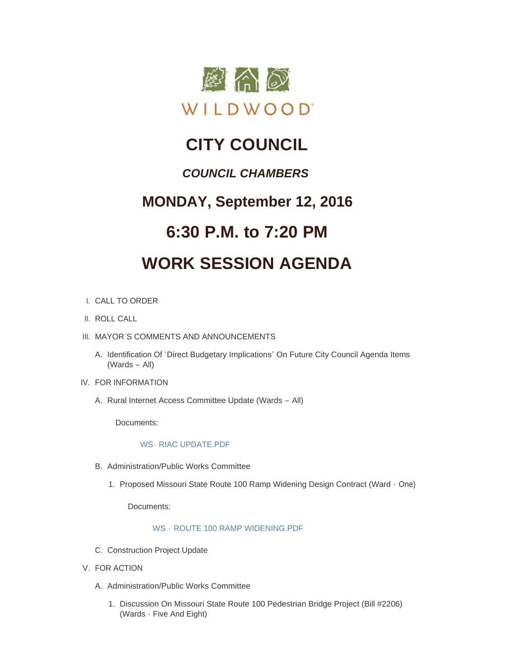

## **CITY COUNCIL**

### *COUNCIL CHAMBERS*

### **MONDAY, September 12, 2016**

### **6:30 P.M. to 7:20 PM**

# **WORK SESSION AGENDA**

#### CALL TO ORDER I.

- II. ROLL CALL
- III. MAYOR'S COMMENTS AND ANNOUNCEMENTS
	- A. Identification Of 'Direct Budgetary Implications' On Future City Council Agenda Items (Wards – All)
- IV. FOR INFORMATION
	- A. Rural Internet Access Committee Update (Wards All)

Documents:

#### WS- [RIAC UPDATE.PDF](http://mo-wildwood.civicplus.com/AgendaCenter/ViewFile/Item/8132?fileID=12220)

- B. Administration/Public Works Committee
	- 1. Proposed Missouri State Route 100 Ramp Widening Design Contract (Ward One)

Documents:

#### WS - [ROUTE 100 RAMP WIDENING.PDF](http://mo-wildwood.civicplus.com/AgendaCenter/ViewFile/Item/8134?fileID=12221)

- C. Construction Project Update
- V. FOR ACTION
	- A. Administration/Public Works Committee
		- 1. Discussion On Missouri State Route 100 Pedestrian Bridge Project (Bill #2206) (Wards - Five And Eight)